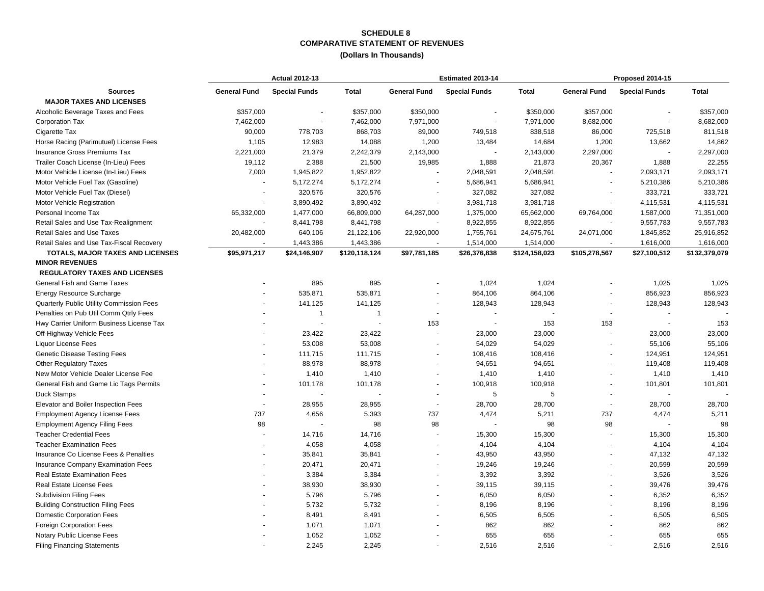### **COMPARATIVE STATEMENT OF REVENUES SCHEDULE 8**

#### **(Dollars In Thousands)**

|                                           |                     | <b>Actual 2012-13</b> |               |                     | Estimated 2013-14    |               | Proposed 2014-15         |                      |               |
|-------------------------------------------|---------------------|-----------------------|---------------|---------------------|----------------------|---------------|--------------------------|----------------------|---------------|
| <b>Sources</b>                            | <b>General Fund</b> | <b>Special Funds</b>  | <b>Total</b>  | <b>General Fund</b> | <b>Special Funds</b> | <b>Total</b>  | <b>General Fund</b>      | <b>Special Funds</b> | <b>Total</b>  |
| <b>MAJOR TAXES AND LICENSES</b>           |                     |                       |               |                     |                      |               |                          |                      |               |
| Alcoholic Beverage Taxes and Fees         | \$357,000           |                       | \$357,000     | \$350,000           |                      | \$350,000     | \$357,000                |                      | \$357,000     |
| Corporation Tax                           | 7,462,000           | $\blacksquare$        | 7,462,000     | 7,971,000           |                      | 7,971,000     | 8,682,000                | ä,                   | 8,682,000     |
| Cigarette Tax                             | 90,000              | 778,703               | 868,703       | 89,000              | 749,518              | 838,518       | 86,000                   | 725,518              | 811,518       |
| Horse Racing (Parimutuel) License Fees    | 1,105               | 12,983                | 14,088        | 1,200               | 13,484               | 14,684        | 1,200                    | 13,662               | 14,862        |
| Insurance Gross Premiums Tax              | 2,221,000           | 21,379                | 2,242,379     | 2,143,000           |                      | 2,143,000     | 2,297,000                |                      | 2,297,000     |
| Trailer Coach License (In-Lieu) Fees      | 19,112              | 2,388                 | 21,500        | 19,985              | 1,888                | 21,873        | 20,367                   | 1,888                | 22,255        |
| Motor Vehicle License (In-Lieu) Fees      | 7,000               | 1,945,822             | 1,952,822     | $\blacksquare$      | 2,048,591            | 2,048,591     |                          | 2,093,171            | 2,093,171     |
| Motor Vehicle Fuel Tax (Gasoline)         |                     | 5,172,274             | 5,172,274     |                     | 5,686,941            | 5,686,941     |                          | 5,210,386            | 5,210,386     |
| Motor Vehicle Fuel Tax (Diesel)           |                     | 320,576               | 320,576       |                     | 327,082              | 327,082       |                          | 333,721              | 333,721       |
| Motor Vehicle Registration                |                     | 3,890,492             | 3,890,492     | $\blacksquare$      | 3,981,718            | 3,981,718     |                          | 4,115,531            | 4,115,531     |
| Personal Income Tax                       | 65,332,000          | 1,477,000             | 66,809,000    | 64,287,000          | 1,375,000            | 65,662,000    | 69,764,000               | 1,587,000            | 71,351,000    |
| Retail Sales and Use Tax-Realignment      |                     | 8,441,798             | 8,441,798     |                     | 8,922,855            | 8,922,855     |                          | 9,557,783            | 9,557,783     |
| Retail Sales and Use Taxes                | 20,482,000          | 640,106               | 21,122,106    | 22,920,000          | 1,755,761            | 24,675,761    | 24,071,000               | 1,845,852            | 25,916,852    |
| Retail Sales and Use Tax-Fiscal Recovery  |                     | 1,443,386             | 1,443,386     | $\blacksquare$      | 1,514,000            | 1,514,000     | $\sim$                   | 1,616,000            | 1,616,000     |
| TOTALS, MAJOR TAXES AND LICENSES          | \$95,971,217        | \$24,146,907          | \$120,118,124 | \$97,781,185        | \$26,376,838         | \$124,158,023 | \$105,278,567            | \$27,100,512         | \$132,379,079 |
| <b>MINOR REVENUES</b>                     |                     |                       |               |                     |                      |               |                          |                      |               |
| <b>REGULATORY TAXES AND LICENSES</b>      |                     |                       |               |                     |                      |               |                          |                      |               |
| General Fish and Game Taxes               |                     | 895                   | 895           |                     | 1,024                | 1,024         |                          | 1,025                | 1,025         |
| <b>Energy Resource Surcharge</b>          |                     | 535,871               | 535,871       | $\overline{a}$      | 864,106              | 864,106       |                          | 856,923              | 856,923       |
| Quarterly Public Utility Commission Fees  |                     | 141,125               | 141,125       |                     | 128,943              | 128,943       |                          | 128,943              | 128,943       |
| Penalties on Pub Util Comm Qtrly Fees     |                     | $\mathbf{1}$          | $\mathbf{1}$  | $\sim$              |                      |               | ÷,                       | ÷,                   |               |
| Hwy Carrier Uniform Business License Tax  |                     |                       |               | 153                 |                      | 153           | 153                      |                      | 153           |
| Off-Highway Vehicle Fees                  |                     | 23,422                | 23,422        | ä,                  | 23,000               | 23,000        |                          | 23,000               | 23,000        |
| Liquor License Fees                       |                     | 53,008                | 53,008        | $\overline{a}$      | 54,029               | 54,029        |                          | 55,106               | 55,106        |
| <b>Genetic Disease Testing Fees</b>       |                     | 111,715               | 111,715       |                     | 108,416              | 108,416       |                          | 124,951              | 124,951       |
| Other Regulatory Taxes                    |                     | 88,978                | 88,978        | $\blacksquare$      | 94,651               | 94,651        | $\blacksquare$           | 119,408              | 119,408       |
| New Motor Vehicle Dealer License Fee      |                     | 1,410                 | 1,410         |                     | 1,410                | 1,410         |                          | 1,410                | 1,410         |
| General Fish and Game Lic Tags Permits    |                     | 101,178               | 101,178       |                     | 100,918              | 100,918       |                          | 101,801              | 101,801       |
| <b>Duck Stamps</b>                        |                     |                       |               | $\blacksquare$      | 5                    | 5             | $\overline{\phantom{a}}$ |                      |               |
| Elevator and Boiler Inspection Fees       |                     | 28,955                | 28,955        | ä,                  | 28,700               | 28,700        |                          | 28,700               | 28,700        |
| <b>Employment Agency License Fees</b>     | 737                 | 4,656                 | 5,393         | 737                 | 4,474                | 5,211         | 737                      | 4,474                | 5,211         |
| <b>Employment Agency Filing Fees</b>      | 98                  |                       | 98            | 98                  |                      | 98            | 98                       |                      | 98            |
| <b>Teacher Credential Fees</b>            |                     | 14,716                | 14,716        | ÷.                  | 15,300               | 15,300        |                          | 15,300               | 15,300        |
| <b>Teacher Examination Fees</b>           |                     | 4,058                 | 4,058         |                     | 4,104                | 4,104         |                          | 4,104                | 4,104         |
| Insurance Co License Fees & Penalties     |                     | 35,841                | 35,841        | $\overline{a}$      | 43,950               | 43,950        |                          | 47,132               | 47,132        |
| <b>Insurance Company Examination Fees</b> |                     | 20,471                | 20,471        | $\blacksquare$      | 19,246               | 19,246        |                          | 20,599               | 20,599        |
| <b>Real Estate Examination Fees</b>       |                     | 3,384                 | 3,384         |                     | 3,392                | 3,392         |                          | 3,526                | 3,526         |
| Real Estate License Fees                  |                     | 38,930                | 38,930        | L,                  | 39,115               | 39,115        |                          | 39,476               | 39,476        |
| <b>Subdivision Filing Fees</b>            |                     | 5,796                 | 5,796         |                     | 6,050                | 6,050         |                          | 6,352                | 6,352         |
| <b>Building Construction Filing Fees</b>  |                     | 5,732                 | 5,732         | $\overline{a}$      | 8,196                | 8,196         |                          | 8,196                | 8,196         |
| <b>Domestic Corporation Fees</b>          |                     | 8,491                 | 8,491         |                     | 6,505                | 6,505         |                          | 6,505                | 6,505         |
| Foreign Corporation Fees                  |                     | 1,071                 | 1,071         |                     | 862                  | 862           |                          | 862                  | 862           |
| Notary Public License Fees                |                     | 1,052                 | 1,052         |                     | 655                  | 655           |                          | 655                  | 655           |
| <b>Filing Financing Statements</b>        |                     | 2,245                 | 2,245         |                     | 2,516                | 2,516         |                          | 2,516                | 2,516         |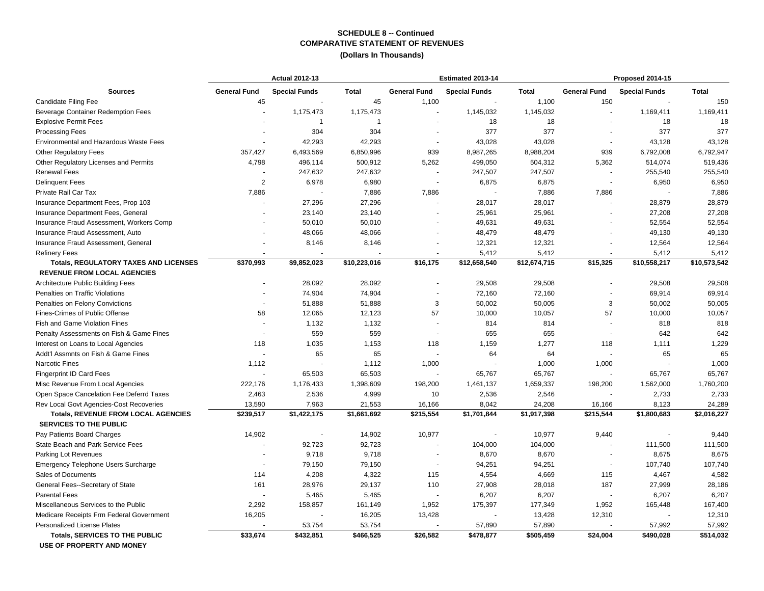### **COMPARATIVE STATEMENT OF REVENUES SCHEDULE 8 -- Continued**

#### **(Dollars In Thousands)**

|                                                                                    | <b>Actual 2012-13</b> |                      |              |                          | Estimated 2013-14        |              | Proposed 2014-15    |                      |              |
|------------------------------------------------------------------------------------|-----------------------|----------------------|--------------|--------------------------|--------------------------|--------------|---------------------|----------------------|--------------|
| <b>Sources</b>                                                                     | <b>General Fund</b>   | <b>Special Funds</b> | Total        | <b>General Fund</b>      | <b>Special Funds</b>     | <b>Total</b> | <b>General Fund</b> | <b>Special Funds</b> | <b>Total</b> |
| Candidate Filing Fee                                                               | 45                    |                      | 45           | 1,100                    |                          | 1,100        | 150                 |                      | 150          |
| Beverage Container Redemption Fees                                                 |                       | 1,175,473            | 1,175,473    |                          | 1,145,032                | 1,145,032    |                     | 1,169,411            | 1,169,411    |
| <b>Explosive Permit Fees</b>                                                       |                       | $\mathbf{1}$         | $\mathbf{1}$ | $\blacksquare$           | 18                       | 18           |                     | 18                   | 18           |
| <b>Processing Fees</b>                                                             |                       | 304                  | 304          |                          | 377                      | 377          |                     | 377                  | 377          |
| <b>Environmental and Hazardous Waste Fees</b>                                      |                       | 42,293               | 42,293       | $\blacksquare$           | 43,028                   | 43,028       |                     | 43,128               | 43,128       |
| <b>Other Regulatory Fees</b>                                                       | 357,427               | 6,493,569            | 6,850,996    | 939                      | 8,987,265                | 8,988,204    | 939                 | 6,792,008            | 6,792,947    |
| Other Regulatory Licenses and Permits                                              | 4,798                 | 496,114              | 500,912      | 5,262                    | 499,050                  | 504,312      | 5,362               | 514,074              | 519,436      |
| <b>Renewal Fees</b>                                                                |                       | 247,632              | 247,632      | $\overline{\phantom{a}}$ | 247,507                  | 247,507      |                     | 255,540              | 255,540      |
| <b>Delinquent Fees</b>                                                             | 2                     | 6,978                | 6,980        | $\sim$                   | 6,875                    | 6,875        |                     | 6,950                | 6,950        |
| Private Rail Car Tax                                                               | 7,886                 |                      | 7,886        | 7,886                    |                          | 7,886        | 7,886               | $\sim$               | 7,886        |
| Insurance Department Fees, Prop 103                                                |                       | 27,296               | 27,296       | $\blacksquare$           | 28,017                   | 28,017       |                     | 28,879               | 28,879       |
| Insurance Department Fees, General                                                 |                       | 23,140               | 23,140       |                          | 25,961                   | 25,961       |                     | 27,208               | 27,208       |
| Insurance Fraud Assessment, Workers Comp                                           |                       | 50,010               | 50,010       |                          | 49,631                   | 49,631       |                     | 52,554               | 52,554       |
| Insurance Fraud Assessment, Auto                                                   |                       | 48,066               | 48,066       | $\blacksquare$           | 48,479                   | 48,479       |                     | 49,130               | 49,130       |
| Insurance Fraud Assessment, General                                                |                       | 8,146                | 8,146        |                          | 12,321                   | 12,321       |                     | 12,564               | 12,564       |
| <b>Refinery Fees</b>                                                               | $\sim$                | $\ddot{\phantom{1}}$ |              | $\blacksquare$           | 5,412                    | 5,412        |                     | 5,412                | 5,412        |
| <b>Totals, REGULATORY TAXES AND LICENSES</b><br><b>REVENUE FROM LOCAL AGENCIES</b> | \$370,993             | \$9,852,023          | \$10,223,016 | \$16,175                 | \$12,658,540             | \$12,674,715 | \$15,325            | \$10,558,217         | \$10,573,542 |
| <b>Architecture Public Building Fees</b>                                           |                       | 28,092               | 28,092       | $\overline{a}$           | 29,508                   | 29,508       |                     | 29,508               | 29,508       |
| Penalties on Traffic Violations                                                    |                       | 74,904               | 74,904       |                          | 72,160                   | 72,160       |                     | 69,914               | 69,914       |
| Penalties on Felony Convictions                                                    |                       | 51,888               | 51,888       | 3                        | 50,002                   | 50,005       | 3                   | 50,002               | 50,005       |
| Fines-Crimes of Public Offense                                                     | 58                    | 12,065               | 12,123       | 57                       | 10,000                   | 10,057       | 57                  | 10,000               | 10,057       |
| Fish and Game Violation Fines                                                      |                       | 1,132                | 1,132        | $\blacksquare$           | 814                      | 814          |                     | 818                  | 818          |
| Penalty Assessments on Fish & Game Fines                                           |                       | 559                  | 559          | ÷.                       | 655                      | 655          |                     | 642                  | 642          |
| Interest on Loans to Local Agencies                                                | 118                   | 1,035                | 1,153        | 118                      | 1,159                    | 1,277        | 118                 | 1,111                | 1,229        |
| Addt'l Assmnts on Fish & Game Fines                                                |                       | 65                   | 65           |                          | 64                       | 64           |                     | 65                   | 65           |
| Narcotic Fines                                                                     | 1,112                 |                      | 1,112        | 1,000                    |                          | 1,000        | 1,000               |                      | 1,000        |
| <b>Fingerprint ID Card Fees</b>                                                    |                       | 65,503               | 65,503       |                          | 65,767                   | 65,767       |                     | 65,767               | 65,767       |
| Misc Revenue From Local Agencies                                                   | 222,176               | 1,176,433            | 1,398,609    | 198,200                  | 1,461,137                | 1,659,337    | 198,200             | 1,562,000            | 1,760,200    |
| Open Space Cancelation Fee Deferrd Taxes                                           | 2,463                 | 2,536                | 4,999        | 10                       | 2,536                    | 2,546        |                     | 2,733                | 2,733        |
| Rev Local Govt Agencies-Cost Recoveries                                            | 13,590                | 7,963                | 21,553       | 16,166                   | 8,042                    | 24,208       | 16,166              | 8,123                | 24,289       |
| <b>Totals, REVENUE FROM LOCAL AGENCIES</b>                                         | \$239,517             | \$1,422,175          | \$1,661,692  | \$215,554                | \$1,701,844              | \$1,917,398  | \$215,544           | \$1,800,683          | \$2,016,227  |
| <b>SERVICES TO THE PUBLIC</b>                                                      |                       |                      |              |                          |                          |              |                     |                      |              |
| Pay Patients Board Charges                                                         | 14,902                |                      | 14,902       | 10,977                   | $\overline{\phantom{a}}$ | 10,977       | 9,440               | $\blacksquare$       | 9,440        |
| State Beach and Park Service Fees                                                  |                       | 92,723               | 92,723       |                          | 104,000                  | 104,000      |                     | 111,500              | 111,500      |
| Parking Lot Revenues                                                               |                       | 9,718                | 9,718        | $\overline{a}$           | 8,670                    | 8,670        |                     | 8,675                | 8,675        |
| <b>Emergency Telephone Users Surcharge</b>                                         |                       | 79,150               | 79,150       | $\overline{\phantom{a}}$ | 94,251                   | 94,251       |                     | 107,740              | 107,740      |
| Sales of Documents                                                                 | 114                   | 4,208                | 4,322        | 115                      | 4,554                    | 4,669        | 115                 | 4,467                | 4,582        |
| General Fees--Secretary of State                                                   | 161                   | 28,976               | 29,137       | 110                      | 27,908                   | 28,018       | 187                 | 27,999               | 28,186       |
| <b>Parental Fees</b>                                                               |                       | 5,465                | 5,465        |                          | 6,207                    | 6,207        |                     | 6,207                | 6,207        |
| Miscellaneous Services to the Public                                               | 2,292                 | 158,857              | 161,149      | 1,952                    | 175,397                  | 177,349      | 1,952               | 165,448              | 167,400      |
| Medicare Receipts Frm Federal Government                                           | 16,205                |                      | 16,205       | 13,428                   |                          | 13,428       | 12,310              |                      | 12,310       |
| <b>Personalized License Plates</b>                                                 |                       | 53,754               | 53,754       |                          | 57,890                   | 57,890       |                     | 57,992               | 57,992       |
| <b>Totals, SERVICES TO THE PUBLIC</b>                                              | \$33,674              | \$432,851            | \$466,525    | \$26,582                 | \$478,877                | \$505,459    | \$24,004            | \$490,028            | \$514,032    |

 **USE OF PROPERTY AND MONEY**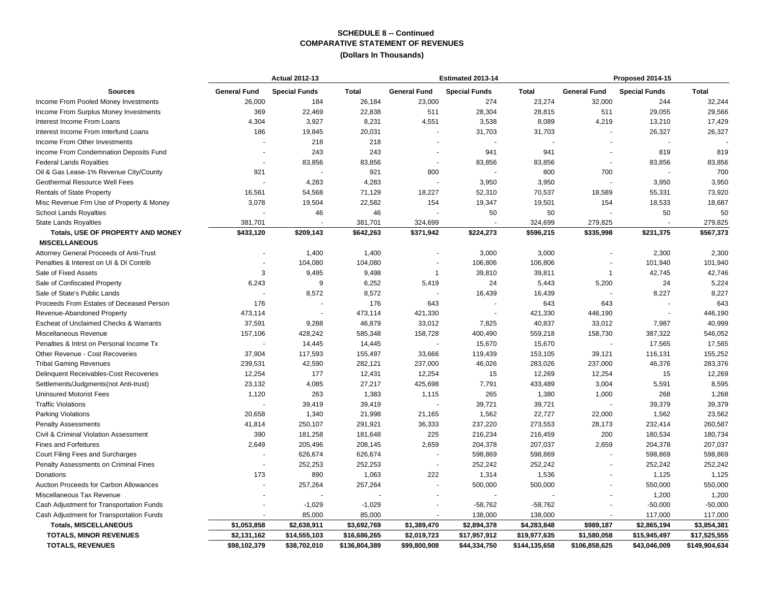#### **COMPARATIVE STATEMENT OF REVENUES (Dollars In Thousands)SCHEDULE 8 -- Continued**

|                                          |                     | <b>Actual 2012-13</b> |               |                          | Estimated 2013-14    |               | Proposed 2014-15    |                      |               |
|------------------------------------------|---------------------|-----------------------|---------------|--------------------------|----------------------|---------------|---------------------|----------------------|---------------|
| <b>Sources</b>                           | <b>General Fund</b> | <b>Special Funds</b>  | <b>Total</b>  | <b>General Fund</b>      | <b>Special Funds</b> | <b>Total</b>  | <b>General Fund</b> | <b>Special Funds</b> | <b>Total</b>  |
| Income From Pooled Money Investments     | 26,000              | 184                   | 26,184        | 23,000                   | 274                  | 23,274        | 32,000              | 244                  | 32,244        |
| Income From Surplus Money Investments    | 369                 | 22,469                | 22,838        | 511                      | 28,304               | 28,815        | 511                 | 29,055               | 29,566        |
| Interest Income From Loans               | 4,304               | 3,927                 | 8,231         | 4,551                    | 3,538                | 8,089         | 4,219               | 13,210               | 17,429        |
| Interest Income From Interfund Loans     | 186                 | 19,845                | 20,031        |                          | 31,703               | 31,703        |                     | 26,327               | 26,327        |
| Income From Other Investments            |                     | 218                   | 218           |                          |                      |               |                     |                      |               |
| Income From Condemnation Deposits Fund   |                     | 243                   | 243           |                          | 941                  | 941           |                     | 819                  | 819           |
| <b>Federal Lands Royalties</b>           |                     | 83,856                | 83,856        | $\sim$                   | 83,856               | 83,856        |                     | 83,856               | 83,856        |
| Oil & Gas Lease-1% Revenue City/County   | 921                 |                       | 921           | 800                      |                      | 800           | 700                 |                      | 700           |
| Geothermal Resource Well Fees            |                     | 4,283                 | 4,283         |                          | 3,950                | 3,950         |                     | 3,950                | 3,950         |
| <b>Rentals of State Property</b>         | 16,561              | 54,568                | 71,129        | 18,227                   | 52,310               | 70,537        | 18,589              | 55,331               | 73,920        |
| Misc Revenue Frm Use of Property & Money | 3,078               | 19,504                | 22,582        | 154                      | 19,347               | 19,501        | 154                 | 18,533               | 18,687        |
| <b>School Lands Royalties</b>            |                     | 46                    | 46            |                          | 50                   | 50            |                     | 50                   | 50            |
| <b>State Lands Royalties</b>             | 381,701             |                       | 381,701       | 324,699                  |                      | 324,699       | 279,825             |                      | 279,825       |
| <b>Totals, USE OF PROPERTY AND MONEY</b> | \$433,120           | \$209,143             | \$642,263     | \$371,942                | \$224,273            | \$596,215     | \$335,998           | \$231,375            | \$567,373     |
| <b>MISCELLANEOUS</b>                     |                     |                       |               |                          |                      |               |                     |                      |               |
| Attorney General Proceeds of Anti-Trust  |                     | 1,400                 | 1,400         |                          | 3,000                | 3,000         |                     | 2,300                | 2,300         |
| Penalties & Interest on UI & DI Contrib  |                     | 104,080               | 104,080       |                          | 106,806              | 106,806       |                     | 101,940              | 101,940       |
| Sale of Fixed Assets                     | 3                   | 9,495                 | 9,498         | $\overline{1}$           | 39,810               | 39,811        | $\overline{1}$      | 42,745               | 42,746        |
| Sale of Confiscated Property             | 6,243               | 9                     | 6,252         | 5,419                    | 24                   | 5,443         | 5,200               | 24                   | 5,224         |
| Sale of State's Public Lands             |                     | 8,572                 | 8,572         |                          | 16,439               | 16,439        |                     | 8,227                | 8,227         |
| Proceeds From Estates of Deceased Person | 176                 |                       | 176           | 643                      |                      | 643           | 643                 |                      | 643           |
| Revenue-Abandoned Property               | 473,114             |                       | 473,114       | 421,330                  |                      | 421,330       | 446,190             |                      | 446,190       |
| Escheat of Unclaimed Checks & Warrants   | 37,591              | 9,288                 | 46,879        | 33,012                   | 7,825                | 40,837        | 33,012              | 7,987                | 40,999        |
| Miscellaneous Revenue                    | 157,106             | 428,242               | 585,348       | 158,728                  | 400,490              | 559,218       | 158,730             | 387,322              | 546,052       |
| Penalties & Intrst on Personal Income Tx |                     | 14,445                | 14,445        |                          | 15,670               | 15,670        |                     | 17,565               | 17,565        |
| Other Revenue - Cost Recoveries          | 37,904              | 117,593               | 155,497       | 33,666                   | 119,439              | 153,105       | 39,121              | 116,131              | 155,252       |
| <b>Tribal Gaming Revenues</b>            | 239,531             | 42,590                | 282,121       | 237,000                  | 46,026               | 283,026       | 237,000             | 46,376               | 283,376       |
| Delinquent Receivables-Cost Recoveries   | 12,254              | 177                   | 12,431        | 12,254                   | 15                   | 12,269        | 12,254              | 15                   | 12,269        |
| Settlements/Judgments(not Anti-trust)    | 23,132              | 4,085                 | 27,217        | 425,698                  | 7,791                | 433,489       | 3,004               | 5,591                | 8,595         |
| <b>Uninsured Motorist Fees</b>           | 1,120               | 263                   | 1,383         | 1,115                    | 265                  | 1,380         | 1,000               | 268                  | 1,268         |
| <b>Traffic Violations</b>                |                     | 39,419                | 39,419        |                          | 39,721               | 39,721        |                     | 39,379               | 39,379        |
| Parking Violations                       | 20,658              | 1,340                 | 21,998        | 21,165                   | 1,562                | 22,727        | 22,000              | 1,562                | 23,562        |
| <b>Penalty Assessments</b>               | 41,814              | 250,107               | 291,921       | 36,333                   | 237,220              | 273,553       | 28,173              | 232,414              | 260,587       |
| Civil & Criminal Violation Assessment    | 390                 | 181,258               | 181,648       | 225                      | 216,234              | 216,459       | 200                 | 180,534              | 180,734       |
| <b>Fines and Forfeitures</b>             | 2,649               | 205,496               | 208,145       | 2,659                    | 204,378              | 207,037       | 2,659               | 204,378              | 207,037       |
| Court Filing Fees and Surcharges         |                     | 626,674               | 626,674       |                          | 598,869              | 598,869       |                     | 598,869              | 598,869       |
| Penalty Assessments on Criminal Fines    |                     | 252,253               | 252,253       | $\sim$                   | 252,242              | 252,242       |                     | 252,242              | 252,242       |
| Donations                                | 173                 | 890                   | 1,063         | 222                      | 1,314                | 1,536         |                     | 1,125                | 1,125         |
| Auction Proceeds for Carbon Allowances   |                     | 257,264               | 257,264       |                          | 500,000              | 500,000       |                     | 550,000              | 550,000       |
| Miscellaneous Tax Revenue                |                     |                       |               |                          |                      |               |                     | 1,200                | 1,200         |
| Cash Adjustment for Transportation Funds |                     | $-1,029$              | $-1,029$      | $\overline{\phantom{a}}$ | $-58,762$            | $-58,762$     |                     | $-50,000$            | $-50,000$     |
| Cash Adjustment for Transportation Funds |                     | 85,000                | 85,000        |                          | 138,000              | 138,000       |                     | 117,000              | 117,000       |
| <b>Totals, MISCELLANEOUS</b>             | \$1,053,858         | \$2,638,911           | \$3,692,769   | \$1,389,470              | \$2,894,378          | \$4,283,848   | \$989,187           | \$2,865,194          | \$3,854,381   |
| <b>TOTALS, MINOR REVENUES</b>            | \$2,131,162         | \$14,555,103          | \$16,686,265  | \$2,019,723              | \$17,957,912         | \$19,977,635  | \$1,580,058         | \$15,945,497         | \$17,525,555  |
| <b>TOTALS, REVENUES</b>                  | \$98,102,379        | \$38,702,010          | \$136,804,389 | \$99,800,908             | \$44,334,750         | \$144,135,658 | \$106,858,625       | \$43,046,009         | \$149,904,634 |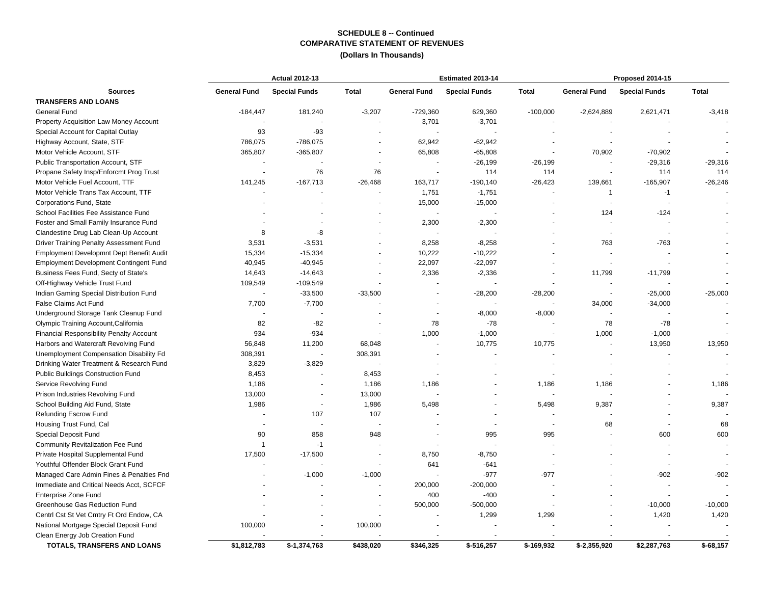## **COMPARATIVE STATEMENT OF REVENUES SCHEDULE 8 -- Continued**

**(Dollars In Thousands)**

|                                                 |                     | <b>Actual 2012-13</b>    |                      |                     | Estimated 2013-14    |              | Proposed 2014-15    |                      |              |  |
|-------------------------------------------------|---------------------|--------------------------|----------------------|---------------------|----------------------|--------------|---------------------|----------------------|--------------|--|
| <b>Sources</b>                                  | <b>General Fund</b> | <b>Special Funds</b>     | <b>Total</b>         | <b>General Fund</b> | <b>Special Funds</b> | <b>Total</b> | <b>General Fund</b> | <b>Special Funds</b> | <b>Total</b> |  |
| <b>TRANSFERS AND LOANS</b>                      |                     |                          |                      |                     |                      |              |                     |                      |              |  |
| General Fund                                    | $-184,447$          | 181,240                  | $-3,207$             | $-729,360$          | 629,360              | $-100,000$   | $-2,624,889$        | 2,621,471            | $-3,418$     |  |
| Property Acquisition Law Money Account          |                     |                          | $\blacksquare$       | 3,701               | $-3,701$             |              |                     |                      |              |  |
| Special Account for Capital Outlay              | 93                  | $-93$                    |                      |                     |                      |              |                     |                      |              |  |
| Highway Account, State, STF                     | 786,075             | -786,075                 |                      | 62,942              | $-62,942$            |              |                     |                      |              |  |
| Motor Vehicle Account, STF                      | 365,807             | $-365,807$               |                      | 65,808              | $-65,808$            |              | 70,902              | $-70,902$            |              |  |
| Public Transportation Account, STF              |                     |                          |                      | $\blacksquare$      | $-26,199$            | $-26,199$    |                     | $-29,316$            | $-29,316$    |  |
| Propane Safety Insp/Enforcmt Prog Trust         |                     | 76                       | 76                   | $\sim$              | 114                  | 114          |                     | 114                  | 114          |  |
| Motor Vehicle Fuel Account, TTF                 | 141,245             | $-167,713$               | $-26,468$            | 163,717             | $-190, 140$          | $-26,423$    | 139,661             | $-165,907$           | $-26,246$    |  |
| Motor Vehicle Trans Tax Account, TTF            |                     |                          | $\ddot{\phantom{1}}$ | 1,751               | $-1,751$             |              | 1                   | $-1$                 |              |  |
| Corporations Fund, State                        |                     |                          |                      | 15,000              | $-15,000$            |              |                     |                      |              |  |
| School Facilities Fee Assistance Fund           |                     |                          |                      |                     |                      |              | 124                 | $-124$               |              |  |
| Foster and Small Family Insurance Fund          |                     |                          |                      | 2,300               | $-2,300$             |              |                     |                      |              |  |
| Clandestine Drug Lab Clean-Up Account           | 8                   | -8                       |                      |                     |                      |              |                     |                      |              |  |
| Driver Training Penalty Assessment Fund         | 3,531               | $-3,531$                 | $\ddot{\phantom{1}}$ | 8,258               | $-8,258$             |              | 763                 | $-763$               |              |  |
| Employment Developmnt Dept Benefit Audit        | 15,334              | $-15,334$                | $\ddot{\phantom{1}}$ | 10,222              | $-10,222$            |              |                     |                      |              |  |
| <b>Employment Development Contingent Fund</b>   | 40,945              | $-40,945$                |                      | 22,097              | $-22,097$            |              |                     |                      |              |  |
| Business Fees Fund, Secty of State's            | 14,643              | $-14,643$                |                      | 2,336               | $-2,336$             |              | 11,799              | $-11,799$            |              |  |
| Off-Highway Vehicle Trust Fund                  | 109,549             | -109,549                 |                      |                     |                      |              |                     |                      |              |  |
| Indian Gaming Special Distribution Fund         |                     | $-33,500$                | $-33,500$            |                     | $-28,200$            | $-28,200$    |                     | $-25,000$            | $-25,000$    |  |
| False Claims Act Fund                           | 7,700               | $-7,700$                 |                      |                     |                      |              | 34,000              | $-34,000$            |              |  |
| Underground Storage Tank Cleanup Fund           |                     |                          |                      |                     | $-8,000$             | $-8,000$     |                     |                      |              |  |
| Olympic Training Account, California            | 82                  | $-82$                    |                      | 78                  | $-78$                |              | 78                  | $-78$                |              |  |
| <b>Financial Responsibility Penalty Account</b> | 934                 | $-934$                   |                      | 1,000               | $-1,000$             |              | 1,000               | $-1,000$             |              |  |
| Harbors and Watercraft Revolving Fund           | 56,848              | 11,200                   | 68,048               |                     | 10,775               | 10,775       |                     | 13,950               | 13,950       |  |
| Unemployment Compensation Disability Fd         | 308,391             |                          | 308,391              |                     |                      |              |                     |                      |              |  |
| Drinking Water Treatment & Research Fund        | 3,829               | $-3,829$                 |                      |                     |                      |              |                     |                      |              |  |
| Public Buildings Construction Fund              | 8,453               |                          | 8,453                |                     |                      |              |                     |                      |              |  |
| Service Revolving Fund                          | 1,186               | $\overline{\phantom{a}}$ | 1,186                | 1,186               |                      | 1,186        | 1,186               |                      | 1,186        |  |
| Prison Industries Revolving Fund                | 13,000              | $\blacksquare$           | 13,000               |                     |                      |              |                     |                      |              |  |
| School Building Aid Fund, State                 | 1,986               | $\sim$                   | 1,986                | 5,498               |                      | 5,498        | 9,387               |                      | 9,387        |  |
| Refunding Escrow Fund                           |                     | 107                      | 107                  |                     |                      |              |                     |                      |              |  |
| Housing Trust Fund, Cal                         |                     | ÷,                       |                      |                     | $\sim$               |              | 68                  |                      | 68           |  |
| Special Deposit Fund                            | 90                  | 858                      | 948                  |                     | 995                  | 995          |                     | 600                  | 600          |  |
| Community Revitalization Fee Fund               | $\overline{1}$      | $-1$                     |                      |                     |                      |              |                     |                      |              |  |
| Private Hospital Supplemental Fund              | 17,500              | $-17,500$                | ÷,                   | 8,750               | $-8,750$             |              |                     |                      |              |  |
| Youthful Offender Block Grant Fund              |                     |                          |                      | 641                 | $-641$               |              |                     |                      |              |  |
| Managed Care Admin Fines & Penalties Fnd        |                     | $-1,000$                 | $-1,000$             |                     | $-977$               | $-977$       |                     | $-902$               | $-902$       |  |
| Immediate and Critical Needs Acct, SCFCF        |                     |                          |                      | 200,000             | $-200,000$           |              |                     |                      |              |  |
| Enterprise Zone Fund                            |                     |                          |                      | 400                 | $-400$               |              |                     |                      |              |  |
| Greenhouse Gas Reduction Fund                   |                     |                          | $\blacksquare$       | 500,000             | $-500,000$           |              |                     | $-10,000$            | $-10,000$    |  |
| Centrl Cst St Vet Cmtry Ft Ord Endow, CA        |                     |                          |                      |                     | 1,299                | 1,299        |                     | 1,420                | 1,420        |  |
| National Mortgage Special Deposit Fund          | 100,000             |                          | 100,000              |                     |                      |              |                     |                      |              |  |
| Clean Energy Job Creation Fund                  |                     |                          |                      |                     |                      |              |                     |                      |              |  |
| TOTALS, TRANSFERS AND LOANS                     | \$1,812,783         | \$-1,374,763             | \$438,020            | \$346,325           | $$-516,257$          | $$-169,932$  | \$-2,355,920        | \$2,287,763          | $$-68,157$   |  |